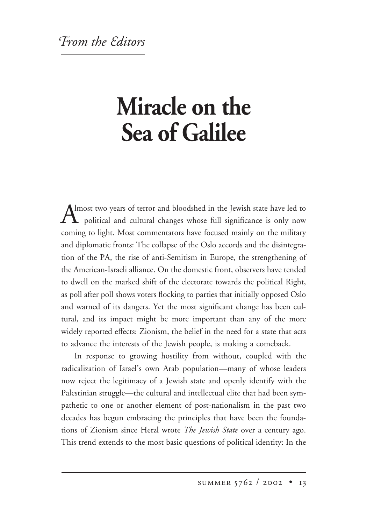# **Miracle on the Sea of Galilee**

Almost two years of terror and bloodshed in the Jewish state have led to political and cultural changes whose full significance is only now coming to light. Most commentators have focused mainly on the military and diplomatic fronts: The collapse of the Oslo accords and the disintegration of the PA, the rise of anti-Semitism in Europe, the strengthening of the American-Israeli alliance. On the domestic front, observers have tended to dwell on the marked shift of the electorate towards the political Right, as poll after poll shows voters flocking to parties that initially opposed Oslo and warned of its dangers. Yet the most significant change has been cultural, and its impact might be more important than any of the more widely reported effects: Zionism, the belief in the need for a state that acts to advance the interests of the Jewish people, is making a comeback.

In response to growing hostility from without, coupled with the radicalization of Israel's own Arab population—many of whose leaders now reject the legitimacy of a Jewish state and openly identify with the Palestinian struggle—the cultural and intellectual elite that had been sympathetic to one or another element of post-nationalism in the past two decades has begun embracing the principles that have been the foundations of Zionism since Herzl wrote *The Jewish State* over a century ago. This trend extends to the most basic questions of political identity: In the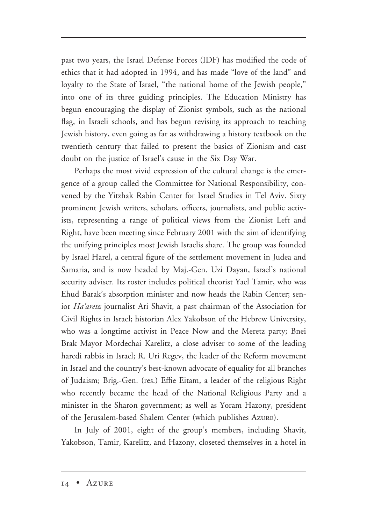past two years, the Israel Defense Forces (IDF) has modified the code of ethics that it had adopted in 1994, and has made "love of the land" and loyalty to the State of Israel, "the national home of the Jewish people," into one of its three guiding principles. The Education Ministry has begun encouraging the display of Zionist symbols, such as the national flag, in Israeli schools, and has begun revising its approach to teaching Jewish history, even going as far as withdrawing a history textbook on the twentieth century that failed to present the basics of Zionism and cast doubt on the justice of Israel's cause in the Six Day War.

Perhaps the most vivid expression of the cultural change is the emergence of a group called the Committee for National Responsibility, convened by the Yitzhak Rabin Center for Israel Studies in Tel Aviv. Sixty prominent Jewish writers, scholars, officers, journalists, and public activists, representing a range of political views from the Zionist Left and Right, have been meeting since February 2001 with the aim of identifying the unifying principles most Jewish Israelis share. The group was founded by Israel Harel, a central figure of the settlement movement in Judea and Samaria, and is now headed by Maj.-Gen. Uzi Dayan, Israel's national security adviser. Its roster includes political theorist Yael Tamir, who was Ehud Barak's absorption minister and now heads the Rabin Center; senior *Ha'aretz* journalist Ari Shavit, a past chairman of the Association for Civil Rights in Israel; historian Alex Yakobson of the Hebrew University, who was a longtime activist in Peace Now and the Meretz party; Bnei Brak Mayor Mordechai Karelitz, a close adviser to some of the leading haredi rabbis in Israel; R. Uri Regev, the leader of the Reform movement in Israel and the country's best-known advocate of equality for all branches of Judaism; Brig.-Gen. (res.) Effie Eitam, a leader of the religious Right who recently became the head of the National Religious Party and a minister in the Sharon government; as well as Yoram Hazony, president of the Jerusalem-based Shalem Center (which publishes Azure).

In July of 2001, eight of the group's members, including Shavit, Yakobson, Tamir, Karelitz, and Hazony, closeted themselves in a hotel in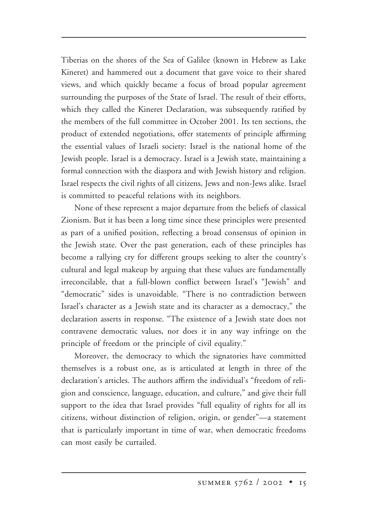Tiberias on the shores of the Sea of Galilee (known in Hebrew as Lake Kineret) and hammered out a document that gave voice to their shared views, and which quickly became a focus of broad popular agreement surrounding the purposes of the State of Israel. The result of their efforts, which they called the Kineret Declaration, was subsequently ratified by the members of the full committee in October 2001. Its ten sections, the product of extended negotiations, offer statements of principle affirming the essential values of Israeli society: Israel is the national home of the Jewish people. Israel is a democracy. Israel is a Jewish state, maintaining a formal connection with the diaspora and with Jewish history and religion. Israel respects the civil rights of all citizens, Jews and non-Jews alike. Israel is committed to peaceful relations with its neighbors.

None of these represent a major departure from the beliefs of classical Zionism. But it has been a long time since these principles were presented as part of a unified position, reflecting a broad consensus of opinion in the Jewish state. Over the past generation, each of these principles has become a rallying cry for different groups seeking to alter the country's cultural and legal makeup by arguing that these values are fundamentally irreconcilable, that a full-blown conflict between Israel's "Jewish" and "democratic" sides is unavoidable. "There is no contradiction between Israel's character as a Jewish state and its character as a democracy," the declaration asserts in response. "The existence of a Jewish state does not contravene democratic values, nor does it in any way infringe on the principle of freedom or the principle of civil equality."

Moreover, the democracy to which the signatories have committed themselves is a robust one, as is articulated at length in three of the declaration's articles. The authors affirm the individual's "freedom of religion and conscience, language, education, and culture," and give their full support to the idea that Israel provides "full equality of rights for all its citizens, without distinction of religion, origin, or gender"—a statement that is particularly important in time of war, when democratic freedoms can most easily be curtailed.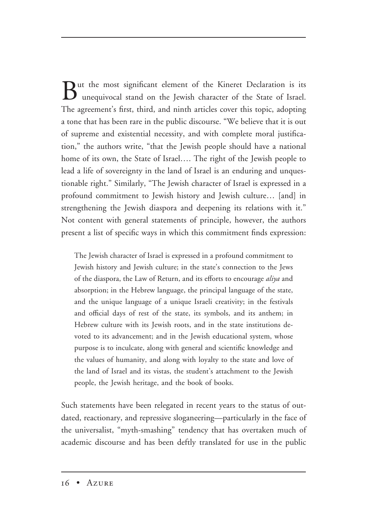But the most significant element of the Kineret Declaration is its<br>unequivocal stand on the Jewish character of the State of Israel. The agreement's first, third, and ninth articles cover this topic, adopting a tone that has been rare in the public discourse. "We believe that it is out of supreme and existential necessity, and with complete moral justification," the authors write, "that the Jewish people should have a national home of its own, the State of Israel…. The right of the Jewish people to lead a life of sovereignty in the land of Israel is an enduring and unquestionable right." Similarly, "The Jewish character of Israel is expressed in a profound commitment to Jewish history and Jewish culture… [and] in strengthening the Jewish diaspora and deepening its relations with it." Not content with general statements of principle, however, the authors present a list of specific ways in which this commitment finds expression:

The Jewish character of Israel is expressed in a profound commitment to Jewish history and Jewish culture; in the state's connection to the Jews of the diaspora, the Law of Return, and its efforts to encourage *aliya* and absorption; in the Hebrew language, the principal language of the state, and the unique language of a unique Israeli creativity; in the festivals and official days of rest of the state, its symbols, and its anthem; in Hebrew culture with its Jewish roots, and in the state institutions devoted to its advancement; and in the Jewish educational system, whose purpose is to inculcate, along with general and scientific knowledge and the values of humanity, and along with loyalty to the state and love of the land of Israel and its vistas, the student's attachment to the Jewish people, the Jewish heritage, and the book of books.

Such statements have been relegated in recent years to the status of outdated, reactionary, and repressive sloganeering—particularly in the face of the universalist, "myth-smashing" tendency that has overtaken much of academic discourse and has been deftly translated for use in the public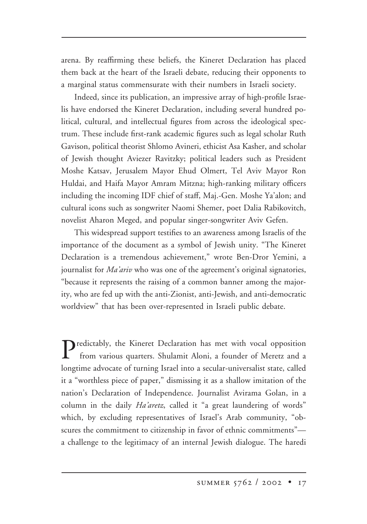arena. By reaffirming these beliefs, the Kineret Declaration has placed them back at the heart of the Israeli debate, reducing their opponents to a marginal status commensurate with their numbers in Israeli society.

Indeed, since its publication, an impressive array of high-profile Israelis have endorsed the Kineret Declaration, including several hundred political, cultural, and intellectual figures from across the ideological spectrum. These include first-rank academic figures such as legal scholar Ruth Gavison, political theorist Shlomo Avineri, ethicist Asa Kasher, and scholar of Jewish thought Aviezer Ravitzky; political leaders such as President Moshe Katsav, Jerusalem Mayor Ehud Olmert, Tel Aviv Mayor Ron Huldai, and Haifa Mayor Amram Mitzna; high-ranking military officers including the incoming IDF chief of staff, Maj.-Gen. Moshe Ya'alon; and cultural icons such as songwriter Naomi Shemer, poet Dalia Rabikovitch, novelist Aharon Meged, and popular singer-songwriter Aviv Gefen.

This widespread support testifies to an awareness among Israelis of the importance of the document as a symbol of Jewish unity. "The Kineret Declaration is a tremendous achievement," wrote Ben-Dror Yemini, a journalist for *Ma'ariv* who was one of the agreement's original signatories, "because it represents the raising of a common banner among the majority, who are fed up with the anti-Zionist, anti-Jewish, and anti-democratic worldview" that has been over-represented in Israeli public debate.

Predictably, the Kineret Declaration has met with vocal opposition from various quarters. Shulamit Aloni, a founder of Meretz and a longtime advocate of turning Israel into a secular-universalist state, called it a "worthless piece of paper," dismissing it as a shallow imitation of the nation's Declaration of Independence. Journalist Avirama Golan, in a column in the daily *Ha'aretz*, called it "a great laundering of words" which, by excluding representatives of Israel's Arab community, "obscures the commitment to citizenship in favor of ethnic commitments" a challenge to the legitimacy of an internal Jewish dialogue. The haredi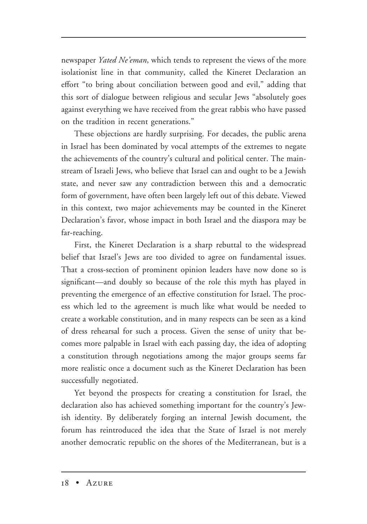newspaper *Yated Ne'eman*, which tends to represent the views of the more isolationist line in that community, called the Kineret Declaration an effort "to bring about conciliation between good and evil," adding that this sort of dialogue between religious and secular Jews "absolutely goes against everything we have received from the great rabbis who have passed on the tradition in recent generations."

These objections are hardly surprising. For decades, the public arena in Israel has been dominated by vocal attempts of the extremes to negate the achievements of the country's cultural and political center. The mainstream of Israeli Jews, who believe that Israel can and ought to be a Jewish state, and never saw any contradiction between this and a democratic form of government, have often been largely left out of this debate. Viewed in this context, two major achievements may be counted in the Kineret Declaration's favor, whose impact in both Israel and the diaspora may be far-reaching.

First, the Kineret Declaration is a sharp rebuttal to the widespread belief that Israel's Jews are too divided to agree on fundamental issues. That a cross-section of prominent opinion leaders have now done so is significant—and doubly so because of the role this myth has played in preventing the emergence of an effective constitution for Israel. The process which led to the agreement is much like what would be needed to create a workable constitution, and in many respects can be seen as a kind of dress rehearsal for such a process. Given the sense of unity that becomes more palpable in Israel with each passing day, the idea of adopting a constitution through negotiations among the major groups seems far more realistic once a document such as the Kineret Declaration has been successfully negotiated.

Yet beyond the prospects for creating a constitution for Israel, the declaration also has achieved something important for the country's Jewish identity. By deliberately forging an internal Jewish document, the forum has reintroduced the idea that the State of Israel is not merely another democratic republic on the shores of the Mediterranean, but is a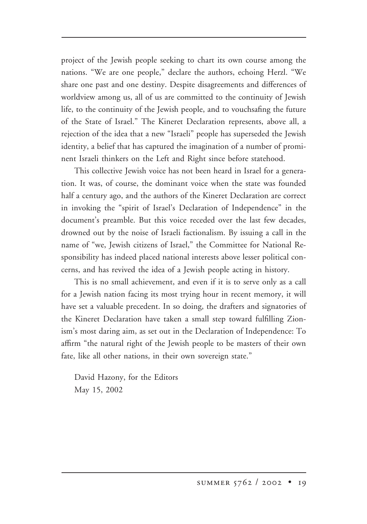project of the Jewish people seeking to chart its own course among the nations. "We are one people," declare the authors, echoing Herzl. "We share one past and one destiny. Despite disagreements and differences of worldview among us, all of us are committed to the continuity of Jewish life, to the continuity of the Jewish people, and to vouchsafing the future of the State of Israel." The Kineret Declaration represents, above all, a rejection of the idea that a new "Israeli" people has superseded the Jewish identity, a belief that has captured the imagination of a number of prominent Israeli thinkers on the Left and Right since before statehood.

This collective Jewish voice has not been heard in Israel for a generation. It was, of course, the dominant voice when the state was founded half a century ago, and the authors of the Kineret Declaration are correct in invoking the "spirit of Israel's Declaration of Independence" in the document's preamble. But this voice receded over the last few decades, drowned out by the noise of Israeli factionalism. By issuing a call in the name of "we, Jewish citizens of Israel," the Committee for National Responsibility has indeed placed national interests above lesser political concerns, and has revived the idea of a Jewish people acting in history.

This is no small achievement, and even if it is to serve only as a call for a Jewish nation facing its most trying hour in recent memory, it will have set a valuable precedent. In so doing, the drafters and signatories of the Kineret Declaration have taken a small step toward fulfilling Zionism's most daring aim, as set out in the Declaration of Independence: To affirm "the natural right of the Jewish people to be masters of their own fate, like all other nations, in their own sovereign state."

David Hazony, for the Editors May 15, 2002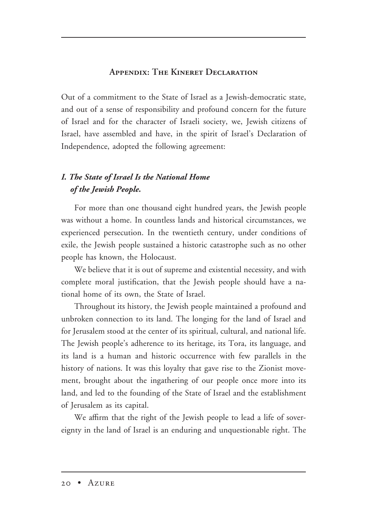## **Appendix: The Kineret Declaration**

Out of a commitment to the State of Israel as a Jewish-democratic state, and out of a sense of responsibility and profound concern for the future of Israel and for the character of Israeli society, we, Jewish citizens of Israel, have assembled and have, in the spirit of Israel's Declaration of Independence, adopted the following agreement:

## *I. The State of Israel Is the National Home of the Jewish People.*

For more than one thousand eight hundred years, the Jewish people was without a home. In countless lands and historical circumstances, we experienced persecution. In the twentieth century, under conditions of exile, the Jewish people sustained a historic catastrophe such as no other people has known, the Holocaust.

We believe that it is out of supreme and existential necessity, and with complete moral justification, that the Jewish people should have a national home of its own, the State of Israel.

Throughout its history, the Jewish people maintained a profound and unbroken connection to its land. The longing for the land of Israel and for Jerusalem stood at the center of its spiritual, cultural, and national life. The Jewish people's adherence to its heritage, its Tora, its language, and its land is a human and historic occurrence with few parallels in the history of nations. It was this loyalty that gave rise to the Zionist movement, brought about the ingathering of our people once more into its land, and led to the founding of the State of Israel and the establishment of Jerusalem as its capital.

We affirm that the right of the Jewish people to lead a life of sovereignty in the land of Israel is an enduring and unquestionable right. The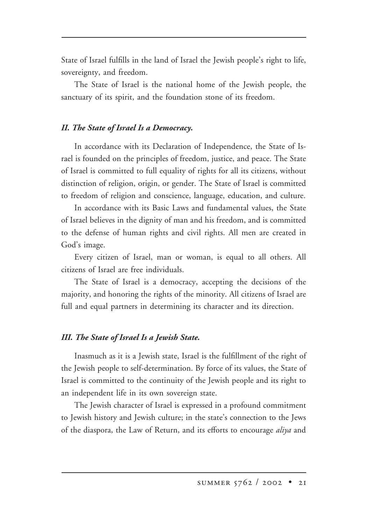State of Israel fulfills in the land of Israel the Jewish people's right to life, sovereignty, and freedom.

The State of Israel is the national home of the Jewish people, the sanctuary of its spirit, and the foundation stone of its freedom.

#### *II. The State of Israel Is a Democracy.*

In accordance with its Declaration of Independence, the State of Israel is founded on the principles of freedom, justice, and peace. The State of Israel is committed to full equality of rights for all its citizens, without distinction of religion, origin, or gender. The State of Israel is committed to freedom of religion and conscience, language, education, and culture.

In accordance with its Basic Laws and fundamental values, the State of Israel believes in the dignity of man and his freedom, and is committed to the defense of human rights and civil rights. All men are created in God's image.

Every citizen of Israel, man or woman, is equal to all others. All citizens of Israel are free individuals.

The State of Israel is a democracy, accepting the decisions of the majority, and honoring the rights of the minority. All citizens of Israel are full and equal partners in determining its character and its direction.

### *III. The State of Israel Is a Jewish State.*

Inasmuch as it is a Jewish state, Israel is the fulfillment of the right of the Jewish people to self-determination. By force of its values, the State of Israel is committed to the continuity of the Jewish people and its right to an independent life in its own sovereign state.

The Jewish character of Israel is expressed in a profound commitment to Jewish history and Jewish culture; in the state's connection to the Jews of the diaspora, the Law of Return, and its efforts to encourage *aliya* and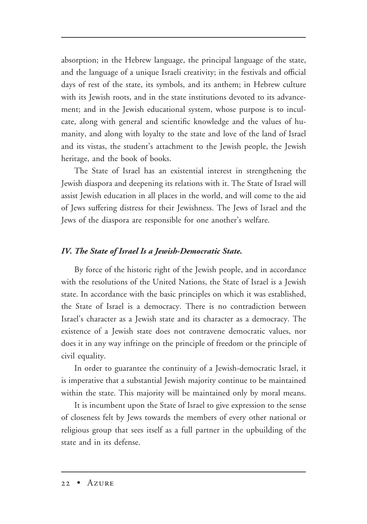absorption; in the Hebrew language, the principal language of the state, and the language of a unique Israeli creativity; in the festivals and official days of rest of the state, its symbols, and its anthem; in Hebrew culture with its Jewish roots, and in the state institutions devoted to its advancement; and in the Jewish educational system, whose purpose is to inculcate, along with general and scientific knowledge and the values of humanity, and along with loyalty to the state and love of the land of Israel and its vistas, the student's attachment to the Jewish people, the Jewish heritage, and the book of books.

The State of Israel has an existential interest in strengthening the Jewish diaspora and deepening its relations with it. The State of Israel will assist Jewish education in all places in the world, and will come to the aid of Jews suffering distress for their Jewishness. The Jews of Israel and the Jews of the diaspora are responsible for one another's welfare.

### *IV. The State of Israel Is a Jewish-Democratic State.*

By force of the historic right of the Jewish people, and in accordance with the resolutions of the United Nations, the State of Israel is a Jewish state. In accordance with the basic principles on which it was established, the State of Israel is a democracy. There is no contradiction between Israel's character as a Jewish state and its character as a democracy. The existence of a Jewish state does not contravene democratic values, nor does it in any way infringe on the principle of freedom or the principle of civil equality.

In order to guarantee the continuity of a Jewish-democratic Israel, it is imperative that a substantial Jewish majority continue to be maintained within the state. This majority will be maintained only by moral means.

It is incumbent upon the State of Israel to give expression to the sense of closeness felt by Jews towards the members of every other national or religious group that sees itself as a full partner in the upbuilding of the state and in its defense.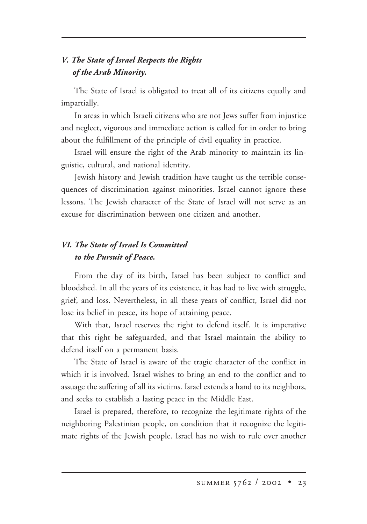# *V. The State of Israel Respects the Rights of the Arab Minority.*

The State of Israel is obligated to treat all of its citizens equally and impartially.

In areas in which Israeli citizens who are not Jews suffer from injustice and neglect, vigorous and immediate action is called for in order to bring about the fulfillment of the principle of civil equality in practice.

Israel will ensure the right of the Arab minority to maintain its linguistic, cultural, and national identity.

Jewish history and Jewish tradition have taught us the terrible consequences of discrimination against minorities. Israel cannot ignore these lessons. The Jewish character of the State of Israel will not serve as an excuse for discrimination between one citizen and another.

# *VI. The State of Israel Is Committed to the Pursuit of Peace.*

From the day of its birth, Israel has been subject to conflict and bloodshed. In all the years of its existence, it has had to live with struggle, grief, and loss. Nevertheless, in all these years of conflict, Israel did not lose its belief in peace, its hope of attaining peace.

With that, Israel reserves the right to defend itself. It is imperative that this right be safeguarded, and that Israel maintain the ability to defend itself on a permanent basis.

The State of Israel is aware of the tragic character of the conflict in which it is involved. Israel wishes to bring an end to the conflict and to assuage the suffering of all its victims. Israel extends a hand to its neighbors, and seeks to establish a lasting peace in the Middle East.

Israel is prepared, therefore, to recognize the legitimate rights of the neighboring Palestinian people, on condition that it recognize the legitimate rights of the Jewish people. Israel has no wish to rule over another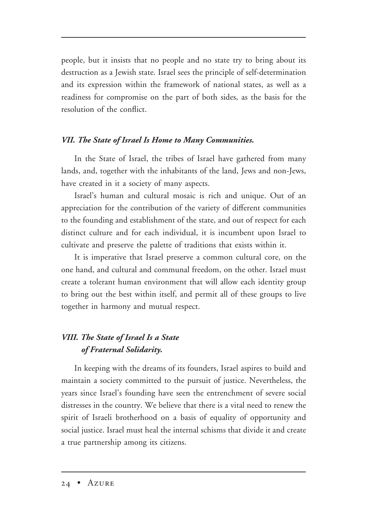people, but it insists that no people and no state try to bring about its destruction as a Jewish state. Israel sees the principle of self-determination and its expression within the framework of national states, as well as a readiness for compromise on the part of both sides, as the basis for the resolution of the conflict.

### *VII. The State of Israel Is Home to Many Communities.*

In the State of Israel, the tribes of Israel have gathered from many lands, and, together with the inhabitants of the land, Jews and non-Jews, have created in it a society of many aspects.

Israel's human and cultural mosaic is rich and unique. Out of an appreciation for the contribution of the variety of different communities to the founding and establishment of the state, and out of respect for each distinct culture and for each individual, it is incumbent upon Israel to cultivate and preserve the palette of traditions that exists within it.

It is imperative that Israel preserve a common cultural core, on the one hand, and cultural and communal freedom, on the other. Israel must create a tolerant human environment that will allow each identity group to bring out the best within itself, and permit all of these groups to live together in harmony and mutual respect.

## *VIII. The State of Israel Is a State of Fraternal Solidarity.*

In keeping with the dreams of its founders, Israel aspires to build and maintain a society committed to the pursuit of justice. Nevertheless, the years since Israel's founding have seen the entrenchment of severe social distresses in the country. We believe that there is a vital need to renew the spirit of Israeli brotherhood on a basis of equality of opportunity and social justice. Israel must heal the internal schisms that divide it and create a true partnership among its citizens.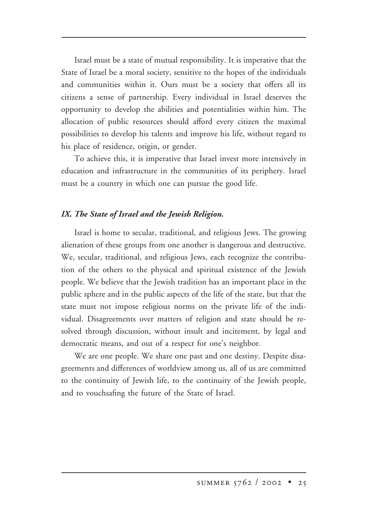Israel must be a state of mutual responsibility. It is imperative that the State of Israel be a moral society, sensitive to the hopes of the individuals and communities within it. Ours must be a society that offers all its citizens a sense of partnership. Every individual in Israel deserves the opportunity to develop the abilities and potentialities within him. The allocation of public resources should afford every citizen the maximal possibilities to develop his talents and improve his life, without regard to his place of residence, origin, or gender.

To achieve this, it is imperative that Israel invest more intensively in education and infrastructure in the communities of its periphery. Israel must be a country in which one can pursue the good life.

#### *IX. The State of Israel and the Jewish Religion.*

Israel is home to secular, traditional, and religious Jews. The growing alienation of these groups from one another is dangerous and destructive. We, secular, traditional, and religious Jews, each recognize the contribution of the others to the physical and spiritual existence of the Jewish people. We believe that the Jewish tradition has an important place in the public sphere and in the public aspects of the life of the state, but that the state must not impose religious norms on the private life of the individual. Disagreements over matters of religion and state should be resolved through discussion, without insult and incitement, by legal and democratic means, and out of a respect for one's neighbor.

We are one people. We share one past and one destiny. Despite disagreements and differences of worldview among us, all of us are committed to the continuity of Jewish life, to the continuity of the Jewish people, and to vouchsafing the future of the State of Israel.